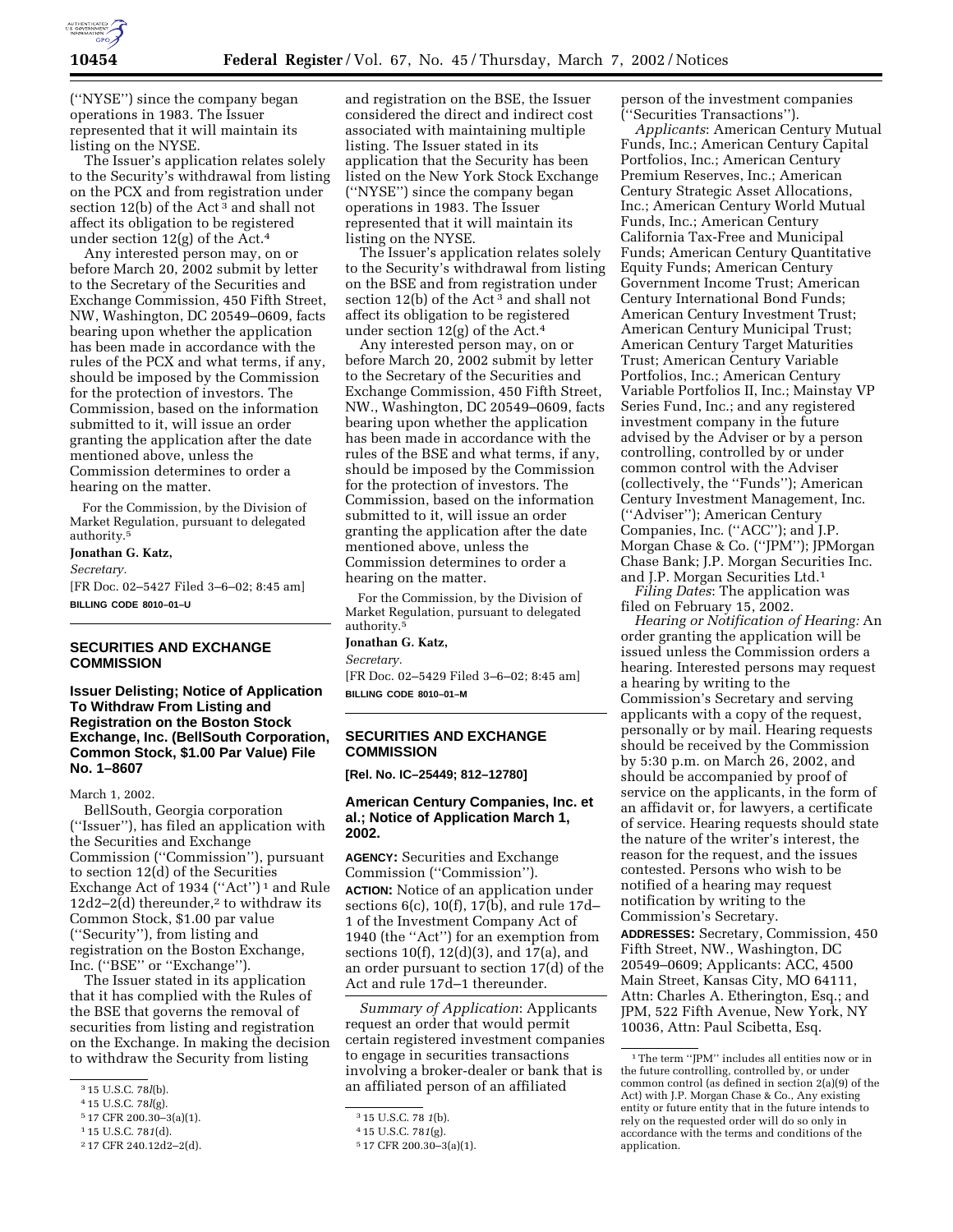

(''NYSE'') since the company began operations in 1983. The Issuer represented that it will maintain its listing on the NYSE.

The Issuer's application relates solely to the Security's withdrawal from listing on the PCX and from registration under section 12(b) of the Act<sup>3</sup> and shall not affect its obligation to be registered under section 12(g) of the Act.4

Any interested person may, on or before March 20, 2002 submit by letter to the Secretary of the Securities and Exchange Commission, 450 Fifth Street, NW, Washington, DC 20549–0609, facts bearing upon whether the application has been made in accordance with the rules of the PCX and what terms, if any, should be imposed by the Commission for the protection of investors. The Commission, based on the information submitted to it, will issue an order granting the application after the date mentioned above, unless the Commission determines to order a hearing on the matter.

For the Commission, by the Division of Market Regulation, pursuant to delegated authority.5

#### **Jonathan G. Katz,**

*Secretary.*

[FR Doc. 02–5427 Filed 3–6–02; 8:45 am] **BILLING CODE 8010–01–U**

## **SECURITIES AND EXCHANGE COMMISSION**

**Issuer Delisting; Notice of Application To Withdraw From Listing and Registration on the Boston Stock Exchange, Inc. (BellSouth Corporation, Common Stock, \$1.00 Par Value) File No. 1–8607**

March 1, 2002.

BellSouth, Georgia corporation (''Issuer''), has filed an application with the Securities and Exchange Commission (''Commission''), pursuant to section 12(d) of the Securities Exchange Act of 1934 (''Act'') 1 and Rule  $12d2-2(d)$  thereunder,<sup>2</sup> to withdraw its Common Stock, \$1.00 par value (''Security''), from listing and registration on the Boston Exchange, Inc. (''BSE'' or ''Exchange'').

The Issuer stated in its application that it has complied with the Rules of the BSE that governs the removal of securities from listing and registration on the Exchange. In making the decision to withdraw the Security from listing

5 17 CFR 200.30–3(a)(1).

and registration on the BSE, the Issuer considered the direct and indirect cost associated with maintaining multiple listing. The Issuer stated in its application that the Security has been listed on the New York Stock Exchange (''NYSE'') since the company began operations in 1983. The Issuer represented that it will maintain its listing on the NYSE.

The Issuer's application relates solely to the Security's withdrawal from listing on the BSE and from registration under section 12(b) of the Act<sup>3</sup> and shall not affect its obligation to be registered under section  $12(g)$  of the Act.<sup>4</sup>

Any interested person may, on or before March 20, 2002 submit by letter to the Secretary of the Securities and Exchange Commission, 450 Fifth Street, NW., Washington, DC 20549–0609, facts bearing upon whether the application has been made in accordance with the rules of the BSE and what terms, if any, should be imposed by the Commission for the protection of investors. The Commission, based on the information submitted to it, will issue an order granting the application after the date mentioned above, unless the Commission determines to order a hearing on the matter.

For the Commission, by the Division of Market Regulation, pursuant to delegated authority.5

#### **Jonathan G. Katz,**

*Secretary.*

[FR Doc. 02–5429 Filed 3–6–02; 8:45 am] **BILLING CODE 8010–01–M**

# **SECURITIES AND EXCHANGE COMMISSION**

**[Rel. No. IC–25449; 812–12780]**

## **American Century Companies, Inc. et al.; Notice of Application March 1, 2002.**

**AGENCY:** Securities and Exchange Commission (''Commission''). **ACTION:** Notice of an application under sections 6(c), 10(f), 17(b), and rule 17d– 1 of the Investment Company Act of 1940 (the ''Act'') for an exemption from sections 10(f), 12(d)(3), and 17(a), and an order pursuant to section 17(d) of the Act and rule 17d–1 thereunder.

*Summary of Application*: Applicants request an order that would permit certain registered investment companies to engage in securities transactions involving a broker-dealer or bank that is an affiliated person of an affiliated

person of the investment companies (''Securities Transactions'').

*Applicants*: American Century Mutual Funds, Inc.; American Century Capital Portfolios, Inc.; American Century Premium Reserves, Inc.; American Century Strategic Asset Allocations, Inc.; American Century World Mutual Funds, Inc.; American Century California Tax-Free and Municipal Funds; American Century Quantitative Equity Funds; American Century Government Income Trust; American Century International Bond Funds; American Century Investment Trust; American Century Municipal Trust; American Century Target Maturities Trust; American Century Variable Portfolios, Inc.; American Century Variable Portfolios II, Inc.; Mainstay VP Series Fund, Inc.; and any registered investment company in the future advised by the Adviser or by a person controlling, controlled by or under common control with the Adviser (collectively, the ''Funds''); American Century Investment Management, Inc. (''Adviser''); American Century Companies, Inc. (''ACC''); and J.P. Morgan Chase & Co. (''JPM''); JPMorgan Chase Bank; J.P. Morgan Securities Inc. and J.P. Morgan Securities Ltd.1

*Filing Dates*: The application was filed on February 15, 2002.

*Hearing or Notification of Hearing:* An order granting the application will be issued unless the Commission orders a hearing. Interested persons may request a hearing by writing to the Commission's Secretary and serving applicants with a copy of the request, personally or by mail. Hearing requests should be received by the Commission by 5:30 p.m. on March 26, 2002, and should be accompanied by proof of service on the applicants, in the form of an affidavit or, for lawyers, a certificate of service. Hearing requests should state the nature of the writer's interest, the reason for the request, and the issues contested. Persons who wish to be notified of a hearing may request notification by writing to the Commission's Secretary. **ADDRESSES:** Secretary, Commission, 450

Fifth Street, NW., Washington, DC 20549–0609; Applicants: ACC, 4500 Main Street, Kansas City, MO 64111, Attn: Charles A. Etherington, Esq.; and JPM, 522 Fifth Avenue, New York, NY 10036, Attn: Paul Scibetta, Esq.

<sup>3</sup> 15 U.S.C. 78*l*(b).

<sup>4</sup> 15 U.S.C. 78*l*(g).

<sup>1</sup> 15 U.S.C. 78*1*(d).

<sup>2</sup> 17 CFR 240.12d2–2(d).

<sup>3</sup> 15 U.S.C. 78 *1*(b).

<sup>4</sup> 15 U.S.C. 78*1*(g).

<sup>5</sup> 17 CFR 200.30–3(a)(1).

 $^{\rm 1}\rm{The\ term}$  ''JPM'' includes all entities now or in the future controlling, controlled by, or under common control (as defined in section 2(a)(9) of the Act) with J.P. Morgan Chase & Co., Any existing entity or future entity that in the future intends to rely on the requested order will do so only in accordance with the terms and conditions of the application.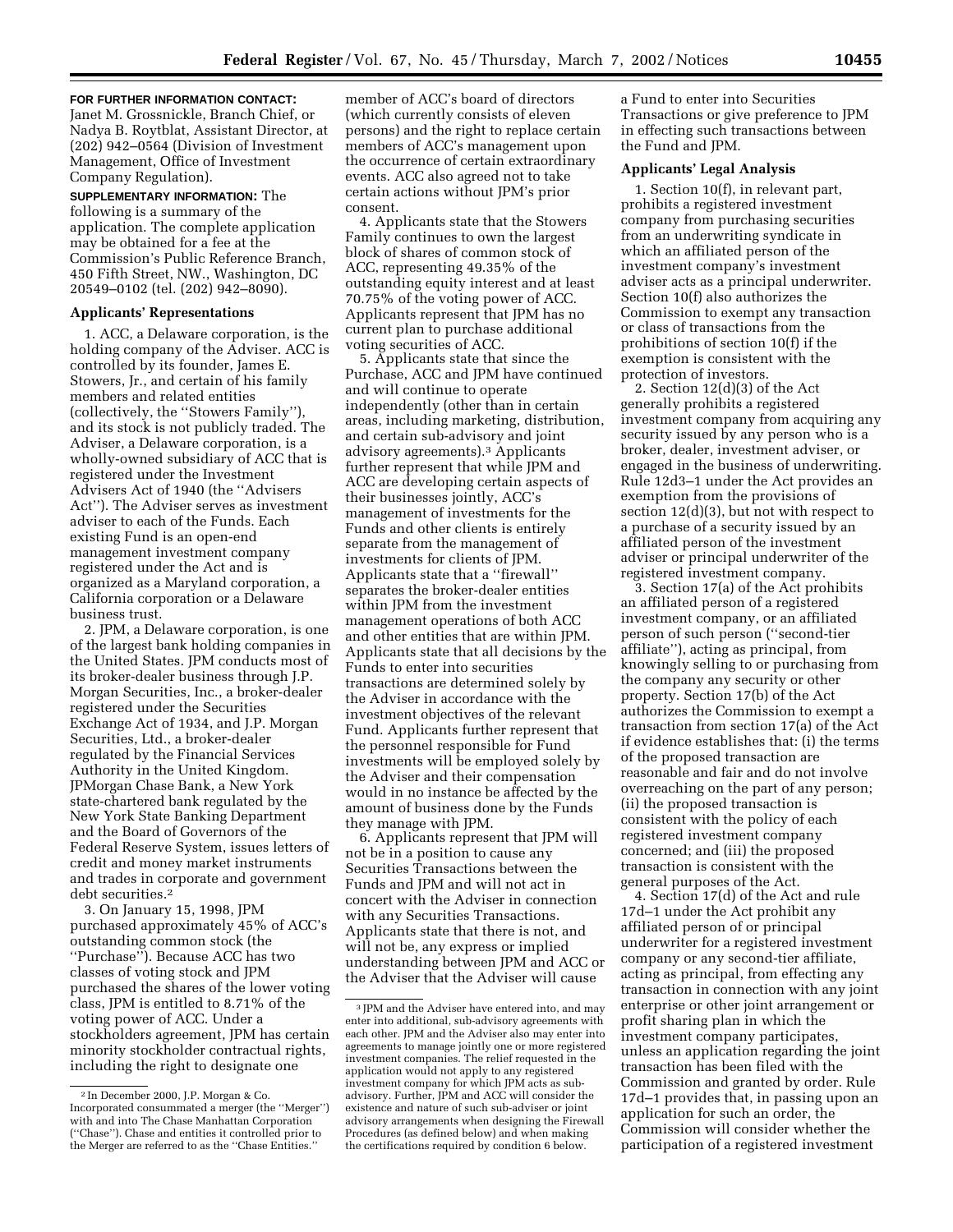**FOR FURTHER INFORMATION CONTACT:** Janet M. Grossnickle, Branch Chief, or Nadya B. Roytblat, Assistant Director, at (202) 942–0564 (Division of Investment Management, Office of Investment Company Regulation).

**SUPPLEMENTARY INFORMATION:** The following is a summary of the application. The complete application may be obtained for a fee at the Commission's Public Reference Branch, 450 Fifth Street, NW., Washington, DC 20549–0102 (tel. (202) 942–8090).

#### **Applicants' Representations**

1. ACC, a Delaware corporation, is the holding company of the Adviser. ACC is controlled by its founder, James E. Stowers, Jr., and certain of his family members and related entities (collectively, the ''Stowers Family''), and its stock is not publicly traded. The Adviser, a Delaware corporation, is a wholly-owned subsidiary of ACC that is registered under the Investment Advisers Act of 1940 (the ''Advisers Act''). The Adviser serves as investment adviser to each of the Funds. Each existing Fund is an open-end management investment company registered under the Act and is organized as a Maryland corporation, a California corporation or a Delaware business trust.

2. JPM, a Delaware corporation, is one of the largest bank holding companies in the United States. JPM conducts most of its broker-dealer business through J.P. Morgan Securities, Inc., a broker-dealer registered under the Securities Exchange Act of 1934, and J.P. Morgan Securities, Ltd., a broker-dealer regulated by the Financial Services Authority in the United Kingdom. JPMorgan Chase Bank, a New York state-chartered bank regulated by the New York State Banking Department and the Board of Governors of the Federal Reserve System, issues letters of credit and money market instruments and trades in corporate and government debt securities.2

3. On January 15, 1998, JPM purchased approximately 45% of ACC's outstanding common stock (the ''Purchase''). Because ACC has two classes of voting stock and JPM purchased the shares of the lower voting class, JPM is entitled to 8.71% of the voting power of ACC. Under a stockholders agreement, JPM has certain minority stockholder contractual rights, including the right to designate one

member of ACC's board of directors (which currently consists of eleven persons) and the right to replace certain members of ACC's management upon the occurrence of certain extraordinary events. ACC also agreed not to take certain actions without JPM's prior consent.

4. Applicants state that the Stowers Family continues to own the largest block of shares of common stock of ACC, representing 49.35% of the outstanding equity interest and at least 70.75% of the voting power of ACC. Applicants represent that JPM has no current plan to purchase additional voting securities of ACC.

5. Applicants state that since the Purchase, ACC and JPM have continued and will continue to operate independently (other than in certain areas, including marketing, distribution, and certain sub-advisory and joint advisory agreements).3 Applicants further represent that while JPM and ACC are developing certain aspects of their businesses jointly, ACC's management of investments for the Funds and other clients is entirely separate from the management of investments for clients of JPM. Applicants state that a ''firewall'' separates the broker-dealer entities within JPM from the investment management operations of both ACC and other entities that are within JPM. Applicants state that all decisions by the Funds to enter into securities transactions are determined solely by the Adviser in accordance with the investment objectives of the relevant Fund. Applicants further represent that the personnel responsible for Fund investments will be employed solely by the Adviser and their compensation would in no instance be affected by the amount of business done by the Funds they manage with JPM.

6. Applicants represent that JPM will not be in a position to cause any Securities Transactions between the Funds and JPM and will not act in concert with the Adviser in connection with any Securities Transactions. Applicants state that there is not, and will not be, any express or implied understanding between JPM and ACC or the Adviser that the Adviser will cause

a Fund to enter into Securities Transactions or give preference to JPM in effecting such transactions between the Fund and JPM.

## **Applicants' Legal Analysis**

1. Section 10(f), in relevant part, prohibits a registered investment company from purchasing securities from an underwriting syndicate in which an affiliated person of the investment company's investment adviser acts as a principal underwriter. Section 10(f) also authorizes the Commission to exempt any transaction or class of transactions from the prohibitions of section 10(f) if the exemption is consistent with the protection of investors.

2. Section 12(d)(3) of the Act generally prohibits a registered investment company from acquiring any security issued by any person who is a broker, dealer, investment adviser, or engaged in the business of underwriting. Rule 12d3–1 under the Act provides an exemption from the provisions of section 12(d)(3), but not with respect to a purchase of a security issued by an affiliated person of the investment adviser or principal underwriter of the registered investment company.

3. Section 17(a) of the Act prohibits an affiliated person of a registered investment company, or an affiliated person of such person (''second-tier affiliate''), acting as principal, from knowingly selling to or purchasing from the company any security or other property. Section 17(b) of the Act authorizes the Commission to exempt a transaction from section 17(a) of the Act if evidence establishes that: (i) the terms of the proposed transaction are reasonable and fair and do not involve overreaching on the part of any person; (ii) the proposed transaction is consistent with the policy of each registered investment company concerned; and (iii) the proposed transaction is consistent with the general purposes of the Act.

4. Section 17(d) of the Act and rule 17d–1 under the Act prohibit any affiliated person of or principal underwriter for a registered investment company or any second-tier affiliate, acting as principal, from effecting any transaction in connection with any joint enterprise or other joint arrangement or profit sharing plan in which the investment company participates, unless an application regarding the joint transaction has been filed with the Commission and granted by order. Rule 17d–1 provides that, in passing upon an application for such an order, the Commission will consider whether the participation of a registered investment

<sup>2</sup> In December 2000, J.P. Morgan & Co. Incorporated consummated a merger (the ''Merger'') with and into The Chase Manhattan Corporation (''Chase''). Chase and entities it controlled prior to the Merger are referred to as the ''Chase Entities.''

<sup>3</sup> JPM and the Adviser have entered into, and may enter into additional, sub-advisory agreements with each other. JPM and the Adviser also may enter into agreements to manage jointly one or more registered investment companies. The relief requested in the application would not apply to any registered investment company for which JPM acts as subadvisory. Further, JPM and ACC will consider the existence and nature of such sub-adviser or joint advisory arrangements when designing the Firewall Procedures (as defined below) and when making the certifications required by condition 6 below.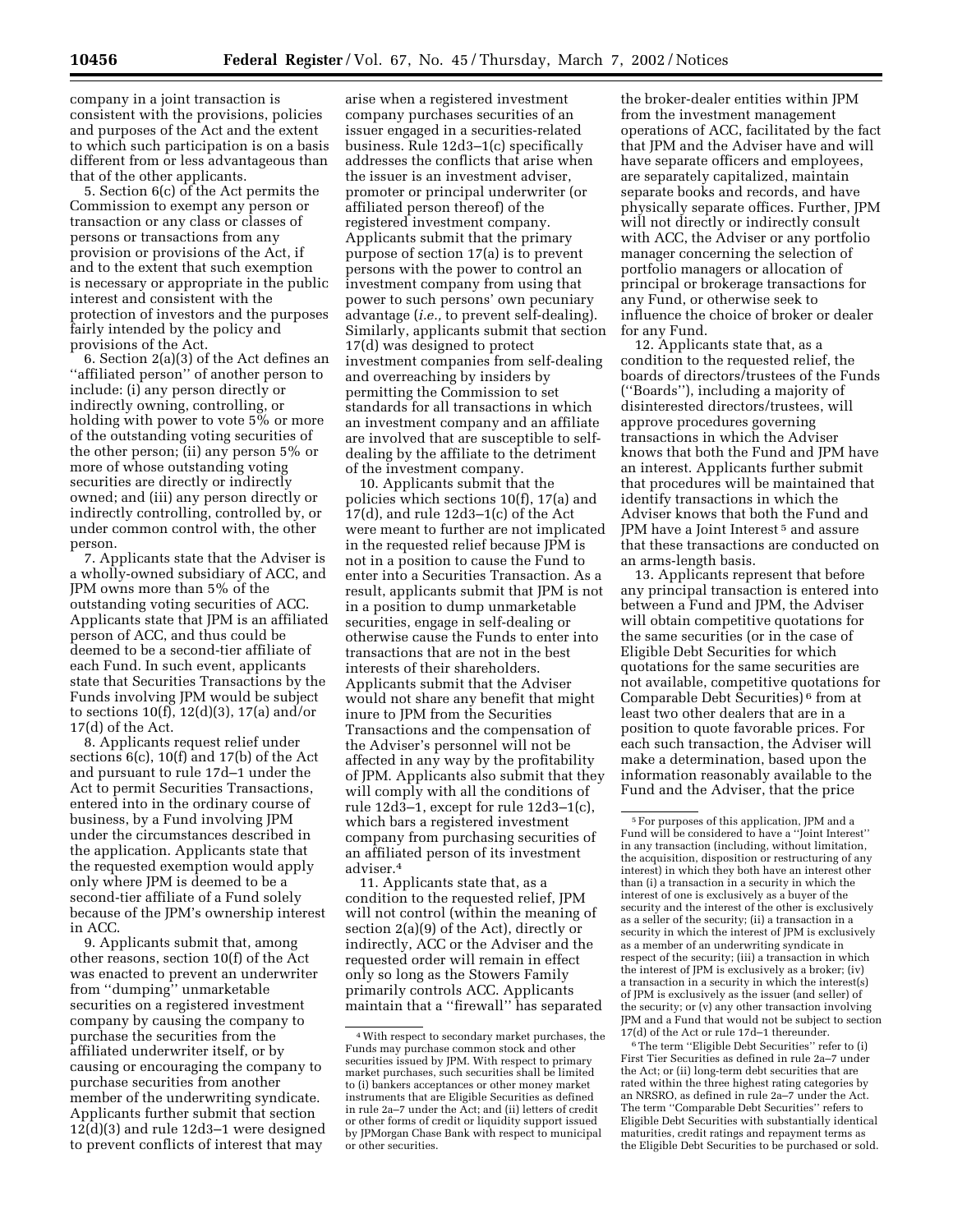company in a joint transaction is consistent with the provisions, policies and purposes of the Act and the extent to which such participation is on a basis different from or less advantageous than that of the other applicants.

5. Section 6(c) of the Act permits the Commission to exempt any person or transaction or any class or classes of persons or transactions from any provision or provisions of the Act, if and to the extent that such exemption is necessary or appropriate in the public interest and consistent with the protection of investors and the purposes fairly intended by the policy and provisions of the Act.

6. Section 2(a)(3) of the Act defines an ''affiliated person'' of another person to include: (i) any person directly or indirectly owning, controlling, or holding with power to vote 5% or more of the outstanding voting securities of the other person; (ii) any person 5% or more of whose outstanding voting securities are directly or indirectly owned; and (iii) any person directly or indirectly controlling, controlled by, or under common control with, the other person.

7. Applicants state that the Adviser is a wholly-owned subsidiary of ACC, and JPM owns more than 5% of the outstanding voting securities of ACC. Applicants state that JPM is an affiliated person of ACC, and thus could be deemed to be a second-tier affiliate of each Fund. In such event, applicants state that Securities Transactions by the Funds involving JPM would be subject to sections 10(f), 12(d)(3), 17(a) and/or 17(d) of the Act.

8. Applicants request relief under sections 6(c), 10(f) and 17(b) of the Act and pursuant to rule 17d–1 under the Act to permit Securities Transactions, entered into in the ordinary course of business, by a Fund involving JPM under the circumstances described in the application. Applicants state that the requested exemption would apply only where JPM is deemed to be a second-tier affiliate of a Fund solely because of the JPM's ownership interest in ACC.

9. Applicants submit that, among other reasons, section 10(f) of the Act was enacted to prevent an underwriter from ''dumping'' unmarketable securities on a registered investment company by causing the company to purchase the securities from the affiliated underwriter itself, or by causing or encouraging the company to purchase securities from another member of the underwriting syndicate. Applicants further submit that section 12(d)(3) and rule 12d3–1 were designed to prevent conflicts of interest that may

arise when a registered investment company purchases securities of an issuer engaged in a securities-related business. Rule 12d3–1(c) specifically addresses the conflicts that arise when the issuer is an investment adviser, promoter or principal underwriter (or affiliated person thereof) of the registered investment company. Applicants submit that the primary purpose of section 17(a) is to prevent persons with the power to control an investment company from using that power to such persons' own pecuniary advantage (*i.e.,* to prevent self-dealing). Similarly, applicants submit that section 17(d) was designed to protect investment companies from self-dealing and overreaching by insiders by permitting the Commission to set standards for all transactions in which an investment company and an affiliate are involved that are susceptible to selfdealing by the affiliate to the detriment of the investment company.

10. Applicants submit that the policies which sections 10(f), 17(a) and 17(d), and rule  $12d3-1(c)$  of the Act were meant to further are not implicated in the requested relief because JPM is not in a position to cause the Fund to enter into a Securities Transaction. As a result, applicants submit that JPM is not in a position to dump unmarketable securities, engage in self-dealing or otherwise cause the Funds to enter into transactions that are not in the best interests of their shareholders. Applicants submit that the Adviser would not share any benefit that might inure to JPM from the Securities Transactions and the compensation of the Adviser's personnel will not be affected in any way by the profitability of JPM. Applicants also submit that they will comply with all the conditions of rule 12d3–1, except for rule 12d3–1(c), which bars a registered investment company from purchasing securities of an affiliated person of its investment adviser.4

11. Applicants state that, as a condition to the requested relief, JPM will not control (within the meaning of section 2(a)(9) of the Act), directly or indirectly, ACC or the Adviser and the requested order will remain in effect only so long as the Stowers Family primarily controls ACC. Applicants maintain that a ''firewall'' has separated

the broker-dealer entities within JPM from the investment management operations of ACC, facilitated by the fact that JPM and the Adviser have and will have separate officers and employees, are separately capitalized, maintain separate books and records, and have physically separate offices. Further, JPM will not directly or indirectly consult with ACC, the Adviser or any portfolio manager concerning the selection of portfolio managers or allocation of principal or brokerage transactions for any Fund, or otherwise seek to influence the choice of broker or dealer for any Fund.

12. Applicants state that, as a condition to the requested relief, the boards of directors/trustees of the Funds (''Boards''), including a majority of disinterested directors/trustees, will approve procedures governing transactions in which the Adviser knows that both the Fund and JPM have an interest. Applicants further submit that procedures will be maintained that identify transactions in which the Adviser knows that both the Fund and JPM have a Joint Interest 5 and assure that these transactions are conducted on an arms-length basis.

13. Applicants represent that before any principal transaction is entered into between a Fund and JPM, the Adviser will obtain competitive quotations for the same securities (or in the case of Eligible Debt Securities for which quotations for the same securities are not available, competitive quotations for Comparable Debt Securities) 6 from at least two other dealers that are in a position to quote favorable prices. For each such transaction, the Adviser will make a determination, based upon the information reasonably available to the Fund and the Adviser, that the price

6The term ''Eligible Debt Securities'' refer to (i) First Tier Securities as defined in rule 2a–7 under the Act; or (ii) long-term debt securities that are rated within the three highest rating categories by an NRSRO, as defined in rule 2a–7 under the Act. The term ''Comparable Debt Securities'' refers to Eligible Debt Securities with substantially identical maturities, credit ratings and repayment terms as the Eligible Debt Securities to be purchased or sold.

<sup>4</sup>With respect to secondary market purchases, the Funds may purchase common stock and other securities issued by IPM. With respect to primary market purchases, such securities shall be limited to (i) bankers acceptances or other money market instruments that are Eligible Securities as defined in rule 2a–7 under the Act; and (ii) letters of credit or other forms of credit or liquidity support issued by JPMorgan Chase Bank with respect to municipal or other securities.

<sup>5</sup>For purposes of this application, JPM and a Fund will be considered to have a ''Joint Interest'' in any transaction (including, without limitation, the acquisition, disposition or restructuring of any interest) in which they both have an interest other than (i) a transaction in a security in which the interest of one is exclusively as a buyer of the security and the interest of the other is exclusively as a seller of the security; (ii) a transaction in a security in which the interest of JPM is exclusively as a member of an underwriting syndicate in respect of the security; (iii) a transaction in which the interest of JPM is exclusively as a broker; (iv) a transaction in a security in which the interest(s) of JPM is exclusively as the issuer (and seller) of the security; or (v) any other transaction involving JPM and a Fund that would not be subject to section 17(d) of the Act or rule 17d–1 thereunder.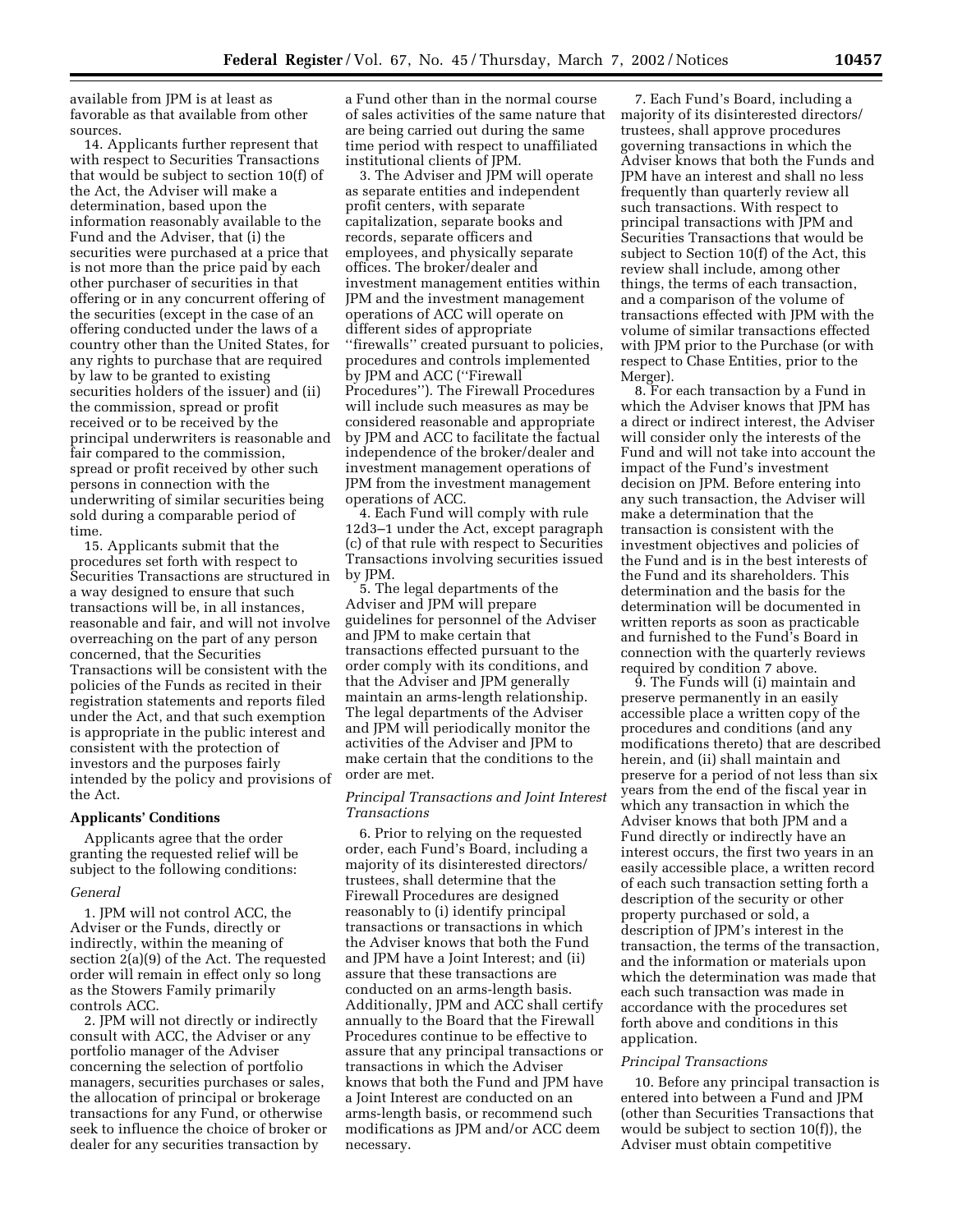available from JPM is at least as favorable as that available from other sources.

14. Applicants further represent that with respect to Securities Transactions that would be subject to section 10(f) of the Act, the Adviser will make a determination, based upon the information reasonably available to the Fund and the Adviser, that (i) the securities were purchased at a price that is not more than the price paid by each other purchaser of securities in that offering or in any concurrent offering of the securities (except in the case of an offering conducted under the laws of a country other than the United States, for any rights to purchase that are required by law to be granted to existing securities holders of the issuer) and (ii) the commission, spread or profit received or to be received by the principal underwriters is reasonable and fair compared to the commission, spread or profit received by other such persons in connection with the underwriting of similar securities being sold during a comparable period of time.

15. Applicants submit that the procedures set forth with respect to Securities Transactions are structured in a way designed to ensure that such transactions will be, in all instances, reasonable and fair, and will not involve overreaching on the part of any person concerned, that the Securities Transactions will be consistent with the policies of the Funds as recited in their registration statements and reports filed under the Act, and that such exemption is appropriate in the public interest and consistent with the protection of investors and the purposes fairly intended by the policy and provisions of the Act.

#### **Applicants' Conditions**

Applicants agree that the order granting the requested relief will be subject to the following conditions:

### *General*

1. JPM will not control ACC, the Adviser or the Funds, directly or indirectly, within the meaning of section 2(a)(9) of the Act. The requested order will remain in effect only so long as the Stowers Family primarily controls ACC.

2. JPM will not directly or indirectly consult with ACC, the Adviser or any portfolio manager of the Adviser concerning the selection of portfolio managers, securities purchases or sales, the allocation of principal or brokerage transactions for any Fund, or otherwise seek to influence the choice of broker or dealer for any securities transaction by

a Fund other than in the normal course of sales activities of the same nature that are being carried out during the same time period with respect to unaffiliated institutional clients of JPM.

3. The Adviser and JPM will operate as separate entities and independent profit centers, with separate capitalization, separate books and records, separate officers and employees, and physically separate offices. The broker/dealer and investment management entities within JPM and the investment management operations of ACC will operate on different sides of appropriate ''firewalls'' created pursuant to policies, procedures and controls implemented by JPM and ACC (''Firewall Procedures''). The Firewall Procedures will include such measures as may be considered reasonable and appropriate by JPM and ACC to facilitate the factual independence of the broker/dealer and investment management operations of JPM from the investment management operations of ACC.

4. Each Fund will comply with rule 12d3–1 under the Act, except paragraph (c) of that rule with respect to Securities Transactions involving securities issued by JPM.

5. The legal departments of the Adviser and JPM will prepare guidelines for personnel of the Adviser and JPM to make certain that transactions effected pursuant to the order comply with its conditions, and that the Adviser and JPM generally maintain an arms-length relationship. The legal departments of the Adviser and JPM will periodically monitor the activities of the Adviser and JPM to make certain that the conditions to the order are met.

## *Principal Transactions and Joint Interest Transactions*

6. Prior to relying on the requested order, each Fund's Board, including a majority of its disinterested directors/ trustees, shall determine that the Firewall Procedures are designed reasonably to (i) identify principal transactions or transactions in which the Adviser knows that both the Fund and JPM have a Joint Interest; and (ii) assure that these transactions are conducted on an arms-length basis. Additionally, JPM and ACC shall certify annually to the Board that the Firewall Procedures continue to be effective to assure that any principal transactions or transactions in which the Adviser knows that both the Fund and JPM have a Joint Interest are conducted on an arms-length basis, or recommend such modifications as JPM and/or ACC deem necessary.

7. Each Fund's Board, including a majority of its disinterested directors/ trustees, shall approve procedures governing transactions in which the Adviser knows that both the Funds and JPM have an interest and shall no less frequently than quarterly review all such transactions. With respect to principal transactions with JPM and Securities Transactions that would be subject to Section 10(f) of the Act, this review shall include, among other things, the terms of each transaction, and a comparison of the volume of transactions effected with JPM with the volume of similar transactions effected with JPM prior to the Purchase (or with respect to Chase Entities, prior to the Merger).

8. For each transaction by a Fund in which the Adviser knows that JPM has a direct or indirect interest, the Adviser will consider only the interests of the Fund and will not take into account the impact of the Fund's investment decision on JPM. Before entering into any such transaction, the Adviser will make a determination that the transaction is consistent with the investment objectives and policies of the Fund and is in the best interests of the Fund and its shareholders. This determination and the basis for the determination will be documented in written reports as soon as practicable and furnished to the Fund's Board in connection with the quarterly reviews required by condition 7 above.

9. The Funds will (i) maintain and preserve permanently in an easily accessible place a written copy of the procedures and conditions (and any modifications thereto) that are described herein, and (ii) shall maintain and preserve for a period of not less than six years from the end of the fiscal year in which any transaction in which the Adviser knows that both JPM and a Fund directly or indirectly have an interest occurs, the first two years in an easily accessible place, a written record of each such transaction setting forth a description of the security or other property purchased or sold, a description of JPM's interest in the transaction, the terms of the transaction, and the information or materials upon which the determination was made that each such transaction was made in accordance with the procedures set forth above and conditions in this application.

### *Principal Transactions*

10. Before any principal transaction is entered into between a Fund and JPM (other than Securities Transactions that would be subject to section 10(f)), the Adviser must obtain competitive